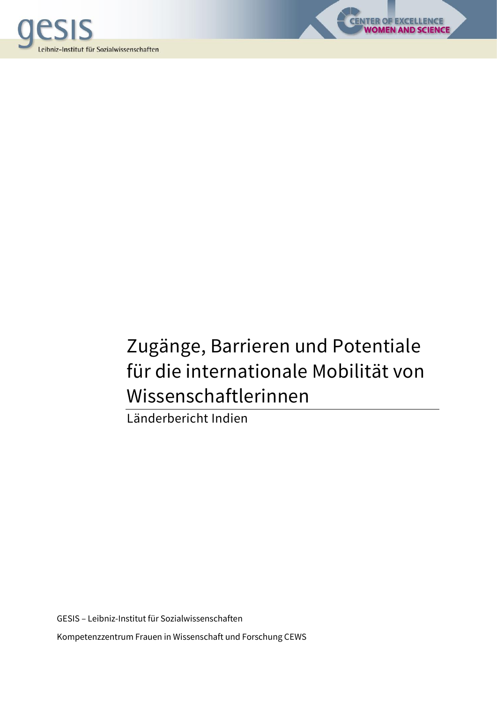

# Zugänge, Barrieren und Potentiale für die internationale Mobilität von Wissenschaftlerinnen

**CENTER OF EXCELLENCE** 

**D SCIENCE** 

Länderbericht Indien

GESIS – Leibniz-Institut für Sozialwissenschaften Kompetenzzentrum Frauen in Wissenschaft und Forschung CEWS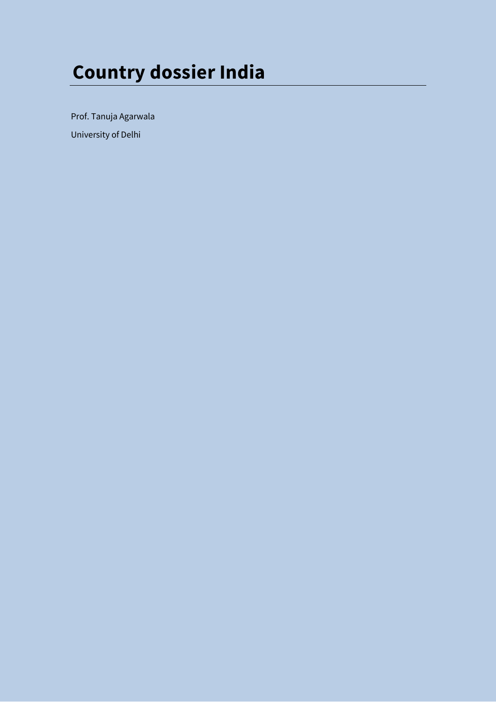# **Country dossier India**

Prof. Tanuja Agarwala

University of Delhi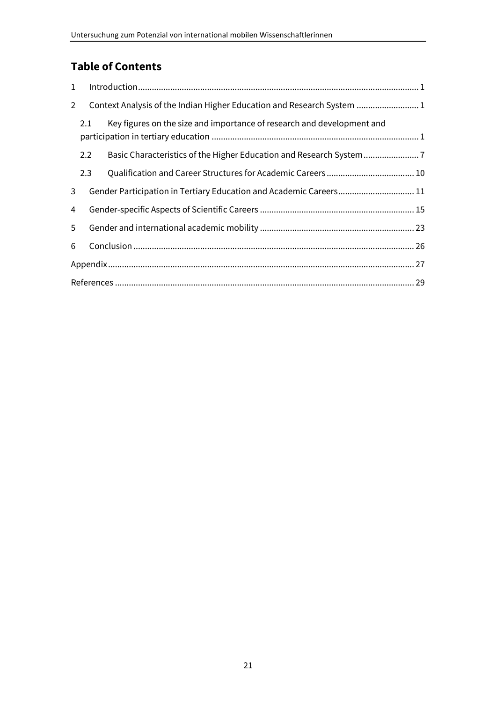## **Table of Contents**

| $\mathbf{1}$   |                                                                        |                                                                        |  |
|----------------|------------------------------------------------------------------------|------------------------------------------------------------------------|--|
| $\overline{2}$ | Context Analysis of the Indian Higher Education and Research System  1 |                                                                        |  |
|                | 2.1                                                                    | Key figures on the size and importance of research and development and |  |
|                | 2.2                                                                    | Basic Characteristics of the Higher Education and Research System      |  |
|                | 2.3                                                                    |                                                                        |  |
| 3              |                                                                        | Gender Participation in Tertiary Education and Academic Careers 11     |  |
| 4              |                                                                        |                                                                        |  |
| 5              |                                                                        |                                                                        |  |
| 6              |                                                                        |                                                                        |  |
|                |                                                                        |                                                                        |  |
|                |                                                                        |                                                                        |  |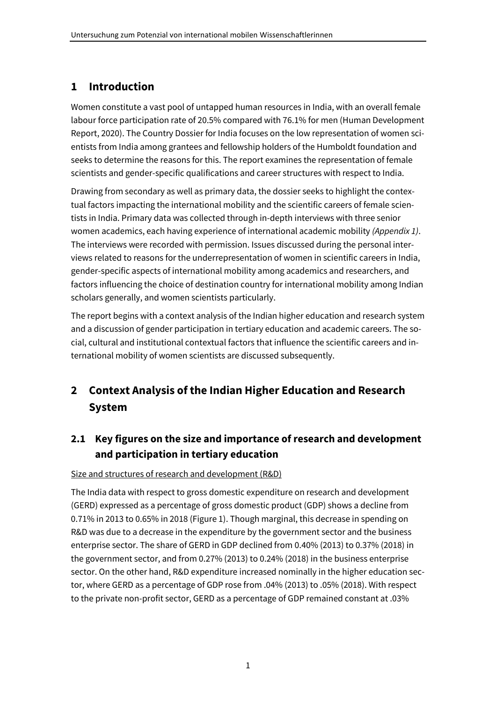## <span id="page-4-0"></span>**1 Introduction**

Women constitute a vast pool of untapped human resources in India, with an overall female labour force participation rate of 20.5% compared with 76.1% for men (Human Development Report, 2020). The Country Dossier for India focuses on the low representation of women scientists from India among grantees and fellowship holders of the Humboldt foundation and seeks to determine the reasons for this. The report examines the representation of female scientists and gender-specific qualifications and career structures with respect to India.

Drawing from secondary as well as primary data, the dossier seeks to highlight the contextual factors impacting the international mobility and the scientific careers of female scientists in India. Primary data was collected through in-depth interviews with three senior women academics, each having experience of international academic mobility *(Appendix 1)*. The interviews were recorded with permission. Issues discussed during the personal interviews related to reasons for the underrepresentation of women in scientific careers in India, gender-specific aspects of international mobility among academics and researchers, and factors influencing the choice of destination country for international mobility among Indian scholars generally, and women scientists particularly.

The report begins with a context analysis of the Indian higher education and research system and a discussion of gender participation in tertiary education and academic careers. The social, cultural and institutional contextual factors that influence the scientific careers and international mobility of women scientists are discussed subsequently.

## <span id="page-4-1"></span>**2 Context Analysis of the Indian Higher Education and Research System**

## <span id="page-4-2"></span>**2.1 Key figures on the size and importance of research and development and participation in tertiary education**

#### Size and structures of research and development (R&D)

The India data with respect to gross domestic expenditure on research and development (GERD) expressed as a percentage of gross domestic product (GDP) shows a decline from 0.71% in 2013 to 0.65% in 2018 (Figure 1). Though marginal, this decrease in spending on R&D was due to a decrease in the expenditure by the government sector and the business enterprise sector. The share of GERD in GDP declined from 0.40% (2013) to 0.37% (2018) in the government sector, and from 0.27% (2013) to 0.24% (2018) in the business enterprise sector. On the other hand, R&D expenditure increased nominally in the higher education sector, where GERD as a percentage of GDP rose from .04% (2013) to .05% (2018). With respect to the private non-profit sector, GERD as a percentage of GDP remained constant at .03%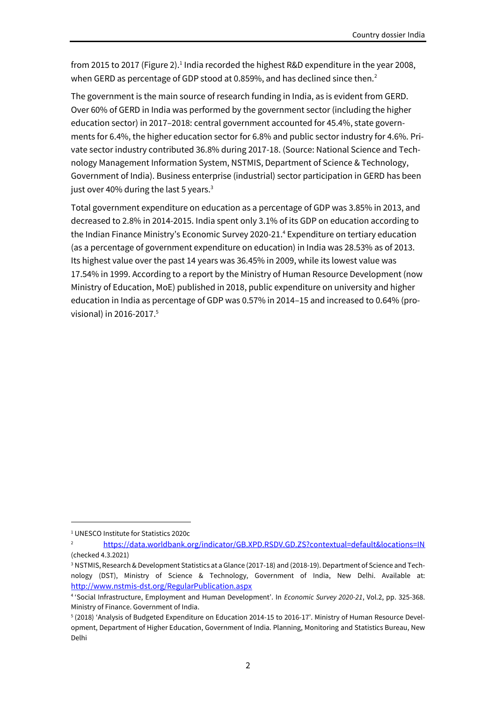from 2015 to 2017 (Figure 2).<sup>1</sup> India recorded the highest R&D expenditure in the year 2008, when GERD as percentage of GDP stood at 0.859%, and has declined since then.<sup>2</sup>

The government is the main source of research funding in India, as is evident from GERD. Over 60% of GERD in India was performed by the government sector (including the higher education sector) in 2017–2018: central government accounted for 45.4%, state governments for 6.4%, the higher education sector for 6.8% and public sector industry for 4.6%. Private sector industry contributed 36.8% during 2017-18. (Source: National Science and Technology Management Information System, NSTMIS, Department of Science & Technology, Government of India). Business enterprise (industrial) sector participation in GERD has been just over 40% during the last 5 years.<sup>3</sup>

Total government expenditure on education as a percentage of GDP was 3.85% in 2013, and decreased to 2.8% in 2014-2015. India spent only 3.1% of its GDP on education according to the Indian Finance Ministry's Economic Survey 2020-21.<sup>4</sup> Expenditure on tertiary education (as a percentage of government expenditure on education) in India was 28.53% as of 2013. Its highest value over the past 14 years was 36.45% in 2009, while its lowest value was 17.54% in 1999. According to a report by the Ministry of Human Resource Development (now Ministry of Education, MoE) published in 2018, public expenditure on university and higher education in India as percentage of GDP was 0.57% in 2014–15 and increased to 0.64% (provisional) in 2016-2017.<sup>5</sup>

<sup>1</sup> UNESCO Institute for Statistics 2020c

<sup>&</sup>lt;sup>2</sup> <https://data.worldbank.org/indicator/GB.XPD.RSDV.GD.ZS?contextual=default&locations=IN> (checked 4.3.2021)

<sup>3</sup> NSTMIS, Research & Development Statistics at a Glance (2017-18) and (2018-19). Department of Science and Technology (DST), Ministry of Science & Technology, Government of India, New Delhi. Available at: <http://www.nstmis-dst.org/RegularPublication.aspx>

<sup>4</sup> 'Social Infrastructure, Employment and Human Development'. In *Economic Survey 2020-21*, Vol.2, pp. 325-368. Ministry of Finance. Government of India.

<sup>5</sup> (2018) 'Analysis of Budgeted Expenditure on Education 2014-15 to 2016-17'. Ministry of Human Resource Development, Department of Higher Education, Government of India. Planning, Monitoring and Statistics Bureau, New Delhi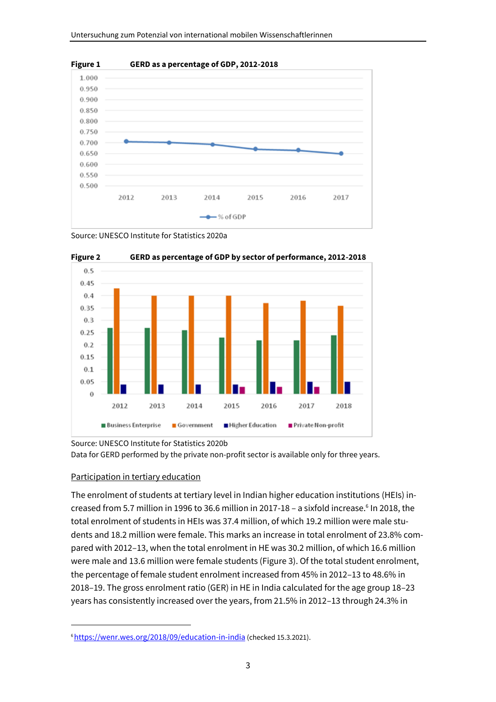

Source: UNESCO Institute for Statistics 2020a



Source: UNESCO Institute for Statistics 2020b Data for GERD performed by the private non-profit sector is available only for three years.

#### Participation in tertiary education

The enrolment of students at tertiary level in Indian higher education institutions (HEIs) increased from 5.7 million in 1996 to 36.6 million in 2017-18 - a sixfold increase.<sup>6</sup> In 2018, the total enrolment of students in HEIs was 37.4 million, of which 19.2 million were male students and 18.2 million were female. This marks an increase in total enrolment of 23.8% compared with 2012–13, when the total enrolment in HE was 30.2 million, of which 16.6 million were male and 13.6 million were female students (Figure 3). Of the total student enrolment, the percentage of female student enrolment increased from 45% in 2012–13 to 48.6% in 2018–19. The gross enrolment ratio (GER) in HE in India calculated for the age group 18–23 years has consistently increased over the years, from 21.5% in 2012–13 through 24.3% in

<sup>&</sup>lt;sup>6</sup><https://wenr.wes.org/2018/09/education-in-india> (checked 15.3.2021).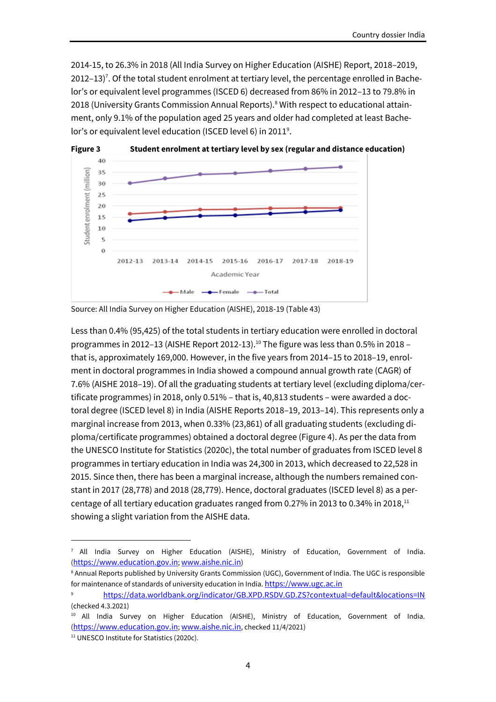2014-15, to 26.3% in 2018 (All India Survey on Higher Education (AISHE) Report, 2018–2019, 2012–13)<sup>7</sup>. Of the total student enrolment at tertiary level, the percentage enrolled in Bachelor's or equivalent level programmes (ISCED 6) decreased from 86% in 2012–13 to 79.8% in 2018 (University Grants Commission Annual Reports).<sup>8</sup> With respect to educational attainment, only 9.1% of the population aged 25 years and older had completed at least Bachelor's or equivalent level education (ISCED level 6) in 2011<sup>9</sup>.



Less than 0.4% (95,425) of the total students in tertiary education were enrolled in doctoral programmes in 2012-13 (AISHE Report 2012-13).<sup>10</sup> The figure was less than 0.5% in 2018 that is, approximately 169,000. However, in the five years from 2014–15 to 2018–19, enrolment in doctoral programmes in India showed a compound annual growth rate (CAGR) of 7.6% (AISHE 2018–19). Of all the graduating students at tertiary level (excluding diploma/certificate programmes) in 2018, only 0.51% – that is, 40,813 students – were awarded a doctoral degree (ISCED level 8) in India (AISHE Reports 2018–19, 2013–14). This represents only a marginal increase from 2013, when 0.33% (23,861) of all graduating students (excluding diploma/certificate programmes) obtained a doctoral degree (Figure 4). As per the data from the UNESCO Institute for Statistics (2020c), the total number of graduates from ISCED level 8 programmes in tertiary education in India was 24,300 in 2013, which decreased to 22,528 in 2015. Since then, there has been a marginal increase, although the numbers remained constant in 2017 (28,778) and 2018 (28,779). Hence, doctoral graduates (ISCED level 8) as a percentage of all tertiary education graduates ranged from 0.27% in 2013 to 0.34% in 2018,<sup>11</sup> showing a slight variation from the AISHE data.

Source: All India Survey on Higher Education (AISHE), 2018-19 (Table 43)

 $7$  All India Survey on Higher Education (AISHE), Ministry of Education, Government of India. ([https://www.education.gov.in](https://www.education.gov.in/); [www.aishe.nic.in](http://www.aishe.nic.in/))

<sup>&</sup>lt;sup>8</sup> Annual Reports published by University Grants Commission (UGC), Government of India. The UGC is responsible for maintenance of standards of university education in India. [https://www.ugc.ac.in](https://www.ugc.ac.in/)

<sup>9</sup> <https://data.worldbank.org/indicator/GB.XPD.RSDV.GD.ZS?contextual=default&locations=IN> (checked 4.3.2021)

<sup>&</sup>lt;sup>10</sup> All India Survey on Higher Education (AISHE), Ministry of Education, Government of India. ([https://www.education.gov.in](https://www.education.gov.in/); [www.aishe.nic.in](http://www.aishe.nic.in/), checked 11/4/2021)

<sup>11</sup> UNESCO Institute for Statistics (2020c).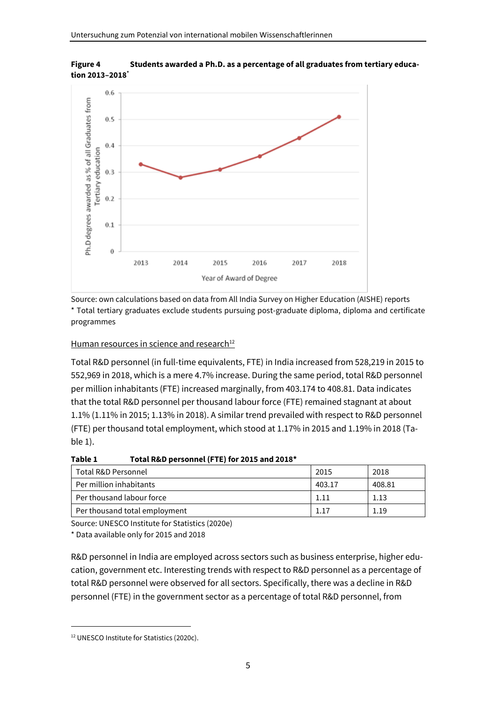

**Figure 4 Students awarded a Ph.D. as a percentage of all graduates from tertiary education 2013–2018\***

Source: own calculations based on data from All India Survey on Higher Education (AISHE) reports \* Total tertiary graduates exclude students pursuing post-graduate diploma, diploma and certificate programmes

#### Human resources in science and research<sup>12</sup>

Total R&D personnel (in full-time equivalents, FTE) in India increased from 528,219 in 2015 to 552,969 in 2018, which is a mere 4.7% increase. During the same period, total R&D personnel per million inhabitants (FTE) increased marginally, from 403.174 to 408.81. Data indicates that the total R&D personnel per thousand labour force (FTE) remained stagnant at about 1.1% (1.11% in 2015; 1.13% in 2018). A similar trend prevailed with respect to R&D personnel (FTE) per thousand total employment, which stood at 1.17% in 2015 and 1.19% in 2018 (Table 1).

| Table 1 | Total R&D personnel (FTE) for 2015 and 2018* |
|---------|----------------------------------------------|
|---------|----------------------------------------------|

| Total R&D Personnel           | 2015   | 2018   |
|-------------------------------|--------|--------|
| Per million inhabitants       | 403.17 | 408.81 |
| Per thousand labour force     |        | 1.13   |
| Per thousand total employment |        | 1.19   |

Source: UNESCO Institute for Statistics (2020e)

\* Data available only for 2015 and 2018

R&D personnel in India are employed across sectors such as business enterprise, higher education, government etc. Interesting trends with respect to R&D personnel as a percentage of total R&D personnel were observed for all sectors. Specifically, there was a decline in R&D personnel (FTE) in the government sector as a percentage of total R&D personnel, from

<sup>12</sup> UNESCO Institute for Statistics (2020c).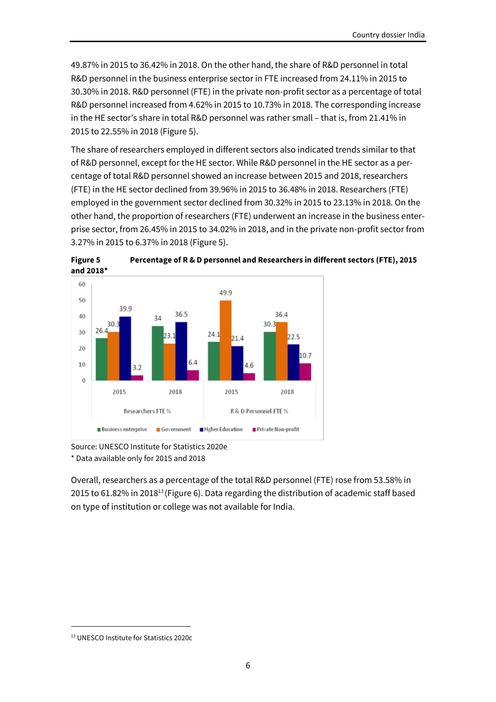49.87% in 2015 to 36.42% in 2018. On the other hand, the share of R&D personnel in total R&D personnel in the business enterprise sector in FTE increased from 24.11% in 2015 to 30.30% in 2018. R&D personnel (FTE) in the private non-profit sector as a percentage of total R&D personnel increased from 4.62% in 2015 to 10.73% in 2018. The corresponding increase in the HE sector's share in total R&D personnel was rather small – that is, from 21.41% in 2015 to 22.55% in 2018 (Figure 5).

The share of researchers employed in different sectors also indicated trends similar to that of R&D personnel, except for the HE sector. While R&D personnel in the HE sector as a percentage of total R&D personnel showed an increase between 2015 and 2018, researchers (FTE) in the HE sector declined from 39.96% in 2015 to 36.48% in 2018. Researchers (FTE) employed in the government sector declined from 30.32% in 2015 to 23.13% in 2018. On the other hand, the proportion of researchers (FTE) underwent an increase in the business enterprise sector, from 26.45% in 2015 to 34.02% in 2018, and in the private non-profit sector from 3.27% in 2015 to 6.37% in 2018 (Figure 5).





Source: UNESCO Institute for Statistics 2020e

\* Data available only for 2015 and 2018

Overall, researchers as a percentage of the total R&D personnel (FTE) rose from 53.58% in 2015 to 61.82% in 2018<sup>13</sup> (Figure 6). Data regarding the distribution of academic staff based on type of institution or college was not available for India.

<sup>13</sup> UNESCO Institute for Statistics 2020c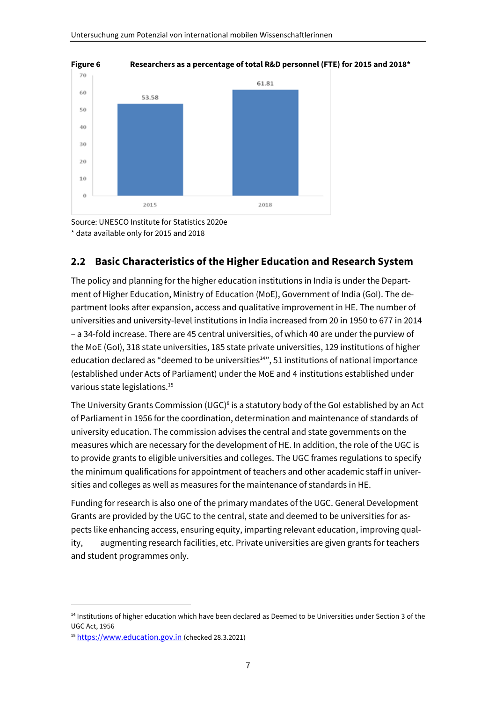

**Figure 6 Researchers as a percentage of total R&D personnel (FTE) for 2015 and 2018\***

Source: UNESCO Institute for Statistics 2020e \* data available only for 2015 and 2018

#### <span id="page-10-0"></span>**2.2 Basic Characteristics of the Higher Education and Research System**

The policy and planning for the higher education institutions in India is under the Department of Higher Education, Ministry of Education (MoE), Government of India (GoI). The department looks after expansion, access and qualitative improvement in HE. The number of universities and university-level institutions in India increased from 20 in 1950 to 677 in 2014 – a 34-fold increase. There are 45 central universities, of which 40 are under the purview of the MoE (GoI), 318 state universities, 185 state private universities, 129 institutions of higher education declared as "deemed to be universities<sup>14"</sup>, 51 institutions of national importance (established under Acts of Parliament) under the MoE and 4 institutions established under various state legislations.<sup>15</sup>

The University Grants Commission (UGC)<sup>8</sup> is a statutory body of the GoI established by an Act of Parliament in 1956 for the coordination, determination and maintenance of standards of university education. The commission advises the central and state governments on the measures which are necessary for the development of HE. In addition, the role of the UGC is to provide grants to eligible universities and colleges. The UGC frames regulations to specify the minimum qualifications for appointment of teachers and other academic staff in universities and colleges as well as measures for the maintenance of standards in HE.

Funding for research is also one of the primary mandates of the UGC. General Development Grants are provided by the UGC to the central, state and deemed to be universities for aspects like enhancing access, ensuring equity, imparting relevant education, improving quality, augmenting research facilities, etc. Private universities are given grants for teachers and student programmes only.

<sup>&</sup>lt;sup>14</sup> Institutions of higher education which have been declared as Deemed to be Universities under Section 3 of the UGC Act, 1956

<sup>15</sup> [https://www.education.gov.in](https://www.education.gov.in/) (checked 28.3.2021)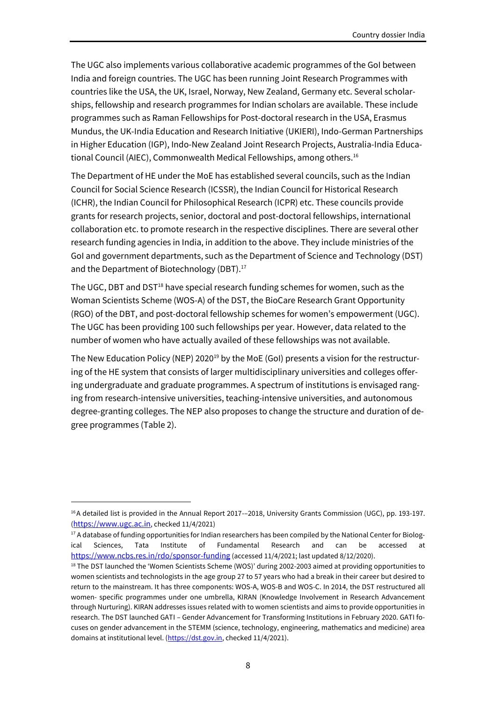The UGC also implements various collaborative academic programmes of the GoI between India and foreign countries. The UGC has been running Joint Research Programmes with countries like the USA, the UK, Israel, Norway, New Zealand, Germany etc. Several scholarships, fellowship and research programmes for Indian scholars are available. These include programmes such as Raman Fellowships for Post-doctoral research in the USA, Erasmus Mundus, the UK-India Education and Research Initiative (UKIERI), Indo-German Partnerships in Higher Education (IGP), Indo-New Zealand Joint Research Projects, Australia-India Educational Council (AIEC), Commonwealth Medical Fellowships, among others.<sup>16</sup>

The Department of HE under the MoE has established several councils, such as the Indian Council for Social Science Research (ICSSR), the Indian Council for Historical Research (ICHR), the Indian Council for Philosophical Research (ICPR) etc. These councils provide grants for research projects, senior, doctoral and post-doctoral fellowships, international collaboration etc. to promote research in the respective disciplines. There are several other research funding agencies in India, in addition to the above. They include ministries of the GoI and government departments, such as the Department of Science and Technology (DST) and the Department of Biotechnology (DBT).<sup>17</sup>

The UGC, DBT and DST<sup>18</sup> have special research funding schemes for women, such as the Woman Scientists Scheme (WOS-A) of the DST, the BioCare Research Grant Opportunity (RGO) of the DBT, and post-doctoral fellowship schemes for women's empowerment (UGC). The UGC has been providing 100 such fellowships per year. However, data related to the number of women who have actually availed of these fellowships was not available.

The New Education Policy (NEP) 2020<sup>19</sup> by the MoE (GoI) presents a vision for the restructuring of the HE system that consists of larger multidisciplinary universities and colleges offering undergraduate and graduate programmes. A spectrum of institutions is envisaged ranging from research-intensive universities, teaching-intensive universities, and autonomous degree-granting colleges. The NEP also proposes to change the structure and duration of degree programmes (Table 2).

<sup>&</sup>lt;sup>16</sup>A detailed list is provided in the Annual Report 2017--2018, University Grants Commission (UGC), pp. 193-197. ([https://www.ugc.ac.in](https://www.ugc.ac.in/), checked 11/4/2021)

<sup>&</sup>lt;sup>17</sup> A database of funding opportunities for Indian researchers has been compiled by the National Center for Biological Sciences, Tata Institute of Fundamental Research and can be accessed <https://www.ncbs.res.in/rdo/sponsor-funding> (accessed 11/4/2021; last updated 8/12/2020).

<sup>&</sup>lt;sup>18</sup> The DST launched the 'Women Scientists Scheme (WOS)' during 2002-2003 aimed at providing opportunities to women scientists and technologists in the age group 27 to 57 years who had a break in their career but desired to return to the mainstream. It has three components: WOS-A, WOS-B and WOS-C. In 2014, the DST restructured all women- specific programmes under one umbrella, KIRAN (Knowledge Involvement in Research Advancement through Nurturing). KIRAN addresses issues related with to women scientists and aims to provide opportunities in research. The DST launched GATI – Gender Advancement for Transforming Institutions in February 2020. GATI focuses on gender advancement in the STEMM (science, technology, engineering, mathematics and medicine) area domains at institutional level. [\(https://dst.gov.in,](https://dst.gov.in/) checked 11/4/2021).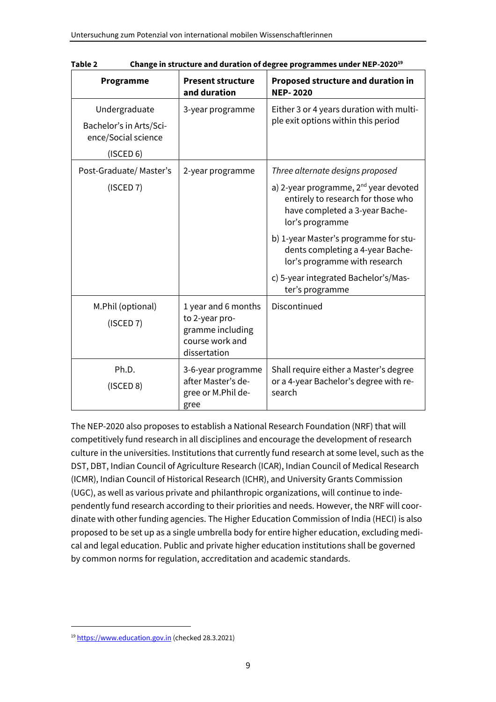| Programme                                      | <b>Present structure</b><br>and duration                              | <b>Proposed structure and duration in</b><br><b>NEP-2020</b>                                                                                 |
|------------------------------------------------|-----------------------------------------------------------------------|----------------------------------------------------------------------------------------------------------------------------------------------|
| Undergraduate                                  | 3-year programme                                                      | Either 3 or 4 years duration with multi-<br>ple exit options within this period                                                              |
| Bachelor's in Arts/Sci-<br>ence/Social science |                                                                       |                                                                                                                                              |
| (ISCED 6)                                      |                                                                       |                                                                                                                                              |
| Post-Graduate/Master's                         | 2-year programme                                                      | Three alternate designs proposed                                                                                                             |
| (ISCED 7)                                      |                                                                       | a) 2-year programme, 2 <sup>nd</sup> year devoted<br>entirely to research for those who<br>have completed a 3-year Bache-<br>lor's programme |
|                                                |                                                                       | b) 1-year Master's programme for stu-<br>dents completing a 4-year Bache-<br>lor's programme with research                                   |
|                                                |                                                                       | c) 5-year integrated Bachelor's/Mas-<br>ter's programme                                                                                      |
| M.Phil (optional)                              | 1 year and 6 months                                                   | Discontinued                                                                                                                                 |
| (ISCED 7)                                      | to 2-year pro-<br>gramme including<br>course work and<br>dissertation |                                                                                                                                              |
| Ph.D.                                          | 3-6-year programme                                                    | Shall require either a Master's degree                                                                                                       |
| (ISCED 8)                                      | after Master's de-<br>gree or M.Phil de-<br>gree                      | or a 4-year Bachelor's degree with re-<br>search                                                                                             |

**Table 2 Change in structure and duration of degree programmes under NEP-2020<sup>19</sup>**

The NEP-2020 also proposes to establish a National Research Foundation (NRF) that will competitively fund research in all disciplines and encourage the development of research culture in the universities. Institutions that currently fund research at some level, such as the DST, DBT, Indian Council of Agriculture Research (ICAR), Indian Council of Medical Research (ICMR), Indian Council of Historical Research (ICHR), and University Grants Commission (UGC), as well as various private and philanthropic organizations, will continue to independently fund research according to their priorities and needs. However, the NRF will coordinate with other funding agencies. The Higher Education Commission of India (HECI) is also proposed to be set up as a single umbrella body for entire higher education, excluding medical and legal education. Public and private higher education institutions shall be governed by common norms for regulation, accreditation and academic standards.

<sup>19</sup> [https://www.education.gov.in](https://www.education.gov.in/) (checked 28.3.2021)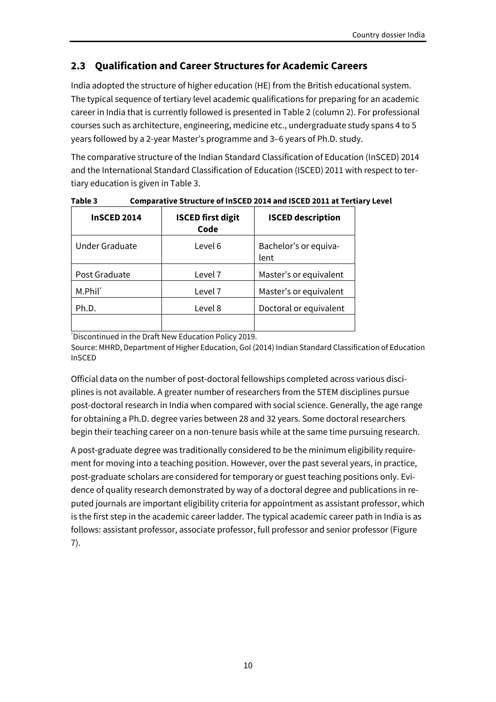## <span id="page-13-0"></span>**2.3 Qualification and Career Structures for Academic Careers**

India adopted the structure of higher education (HE) from the British educational system. The typical sequence of tertiary level academic qualifications for preparing for an academic career in India that is currently followed is presented in Table 2 (column 2). For professional courses such as architecture, engineering, medicine etc., undergraduate study spans 4 to 5 years followed by a 2-year Master's programme and 3–6 years of Ph.D. study.

The comparative structure of the Indian Standard Classification of Education (InSCED) 2014 and the International Standard Classification of Education (ISCED) 2011 with respect to tertiary education is given in Table 3.

| <b>InSCED 2014</b>    | <b>ISCED first digit</b><br>Code | <b>ISCED description</b>      |
|-----------------------|----------------------------------|-------------------------------|
| <b>Under Graduate</b> | Level 6                          | Bachelor's or equiva-<br>lent |
| Post Graduate         | Level 7                          | Master's or equivalent        |
| M.Phil <sup>*</sup>   | Level 7                          | Master's or equivalent        |
| Ph.D.                 | Level 8                          | Doctoral or equivalent        |
|                       |                                  |                               |

**Table 3 Comparative Structure of InSCED 2014 and ISCED 2011 at Tertiary Level**

\*Discontinued in the Draft New Education Policy 2019.

Source: MHRD, Department of Higher Education, GoI (2014) Indian Standard Classification of Education InSCED

Official data on the number of post-doctoral fellowships completed across various disciplines is not available. A greater number of researchers from the STEM disciplines pursue post-doctoral research in India when compared with social science. Generally, the age range for obtaining a Ph.D. degree varies between 28 and 32 years. Some doctoral researchers begin their teaching career on a non-tenure basis while at the same time pursuing research.

A post-graduate degree was traditionally considered to be the minimum eligibility requirement for moving into a teaching position. However, over the past several years, in practice, post-graduate scholars are considered for temporary or guest teaching positions only. Evidence of quality research demonstrated by way of a doctoral degree and publications in reputed journals are important eligibility criteria for appointment as assistant professor, which is the first step in the academic career ladder. The typical academic career path in India is as follows: assistant professor, associate professor, full professor and senior professor (Figure 7).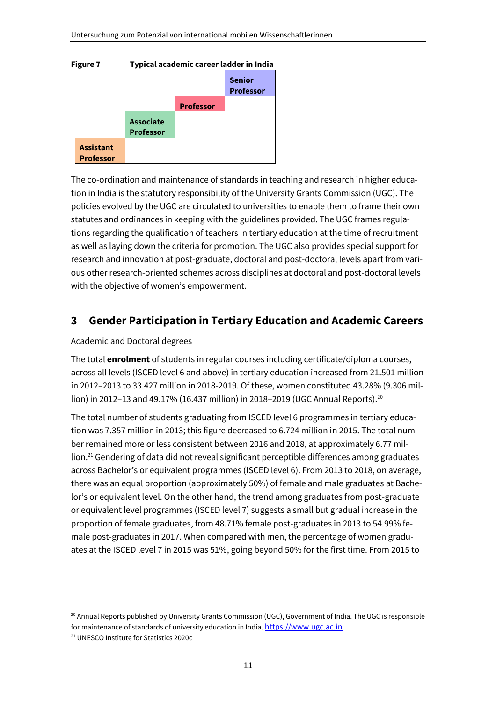#### **Figure 7 Typical academic career ladder in India**



The co-ordination and maintenance of standards in teaching and research in higher education in India is the statutory responsibility of the University Grants Commission (UGC). The policies evolved by the UGC are circulated to universities to enable them to frame their own statutes and ordinances in keeping with the guidelines provided. The UGC frames regulations regarding the qualification of teachers in tertiary education at the time of recruitment as well as laying down the criteria for promotion. The UGC also provides special support for research and innovation at post-graduate, doctoral and post-doctoral levels apart from various other research-oriented schemes across disciplines at doctoral and post-doctoral levels with the objective of women's empowerment.

## <span id="page-14-0"></span>**3 Gender Participation in Tertiary Education and Academic Careers**

#### Academic and Doctoral degrees

The total **enrolment** of students in regular courses including certificate/diploma courses, across all levels (ISCED level 6 and above) in tertiary education increased from 21.501 million in 2012–2013 to 33.427 million in 2018-2019. Of these, women constituted 43.28% (9.306 million) in 2012–13 and 49.17% (16.437 million) in 2018–2019 (UGC Annual Reports).<sup>20</sup>

The total number of students graduating from ISCED level 6 programmes in tertiary education was 7.357 million in 2013; this figure decreased to 6.724 million in 2015. The total number remained more or less consistent between 2016 and 2018, at approximately 6.77 million.<sup>21</sup> Gendering of data did not reveal significant perceptible differences among graduates across Bachelor's or equivalent programmes (ISCED level 6). From 2013 to 2018, on average, there was an equal proportion (approximately 50%) of female and male graduates at Bachelor's or equivalent level. On the other hand, the trend among graduates from post-graduate or equivalent level programmes (ISCED level 7) suggests a small but gradual increase in the proportion of female graduates, from 48.71% female post-graduates in 2013 to 54.99% female post-graduates in 2017. When compared with men, the percentage of women graduates at the ISCED level 7 in 2015 was 51%, going beyond 50% for the first time. From 2015 to

<sup>&</sup>lt;sup>20</sup> Annual Reports published by University Grants Commission (UGC), Government of India. The UGC is responsible for maintenance of standards of university education in India. [https://www.ugc.ac.in](https://www.ugc.ac.in/)

<sup>21</sup> UNESCO Institute for Statistics 2020c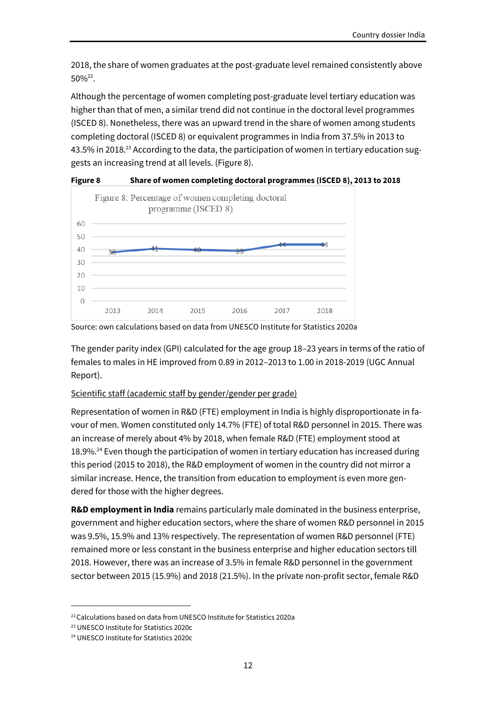2018, the share of women graduates at the post-graduate level remained consistently above  $50\%^{22}$ .

Although the percentage of women completing post-graduate level tertiary education was higher than that of men, a similar trend did not continue in the doctoral level programmes (ISCED 8). Nonetheless, there was an upward trend in the share of women among students completing doctoral (ISCED 8) or equivalent programmes in India from 37.5% in 2013 to 43.5% in 2018.<sup>23</sup> According to the data, the participation of women in tertiary education suggests an increasing trend at all levels. (Figure 8).



**Figure 8 Share of women completing doctoral programmes (ISCED 8), 2013 to 2018**

The gender parity index (GPI) calculated for the age group 18–23 years in terms of the ratio of females to males in HE improved from 0.89 in 2012–2013 to 1.00 in 2018-2019 (UGC Annual Report).

#### Scientific staff (academic staff by gender/gender per grade)

Representation of women in R&D (FTE) employment in India is highly disproportionate in favour of men. Women constituted only 14.7% (FTE) of total R&D personnel in 2015. There was an increase of merely about 4% by 2018, when female R&D (FTE) employment stood at 18.9%.<sup>24</sup> Even though the participation of women in tertiary education has increased during this period (2015 to 2018), the R&D employment of women in the country did not mirror a similar increase. Hence, the transition from education to employment is even more gendered for those with the higher degrees.

**R&D employment in India** remains particularly male dominated in the business enterprise, government and higher education sectors, where the share of women R&D personnel in 2015 was 9.5%, 15.9% and 13% respectively. The representation of women R&D personnel (FTE) remained more or less constant in the business enterprise and higher education sectors till 2018. However, there was an increase of 3.5% in female R&D personnel in the government sector between 2015 (15.9%) and 2018 (21.5%). In the private non-profit sector, female R&D

Source: own calculations based on data from UNESCO Institute for Statistics 2020a

<sup>&</sup>lt;sup>22</sup> Calculations based on data from UNESCO Institute for Statistics 2020a

<sup>23</sup> UNESCO Institute for Statistics 2020c

<sup>24</sup> UNESCO Institute for Statistics 2020c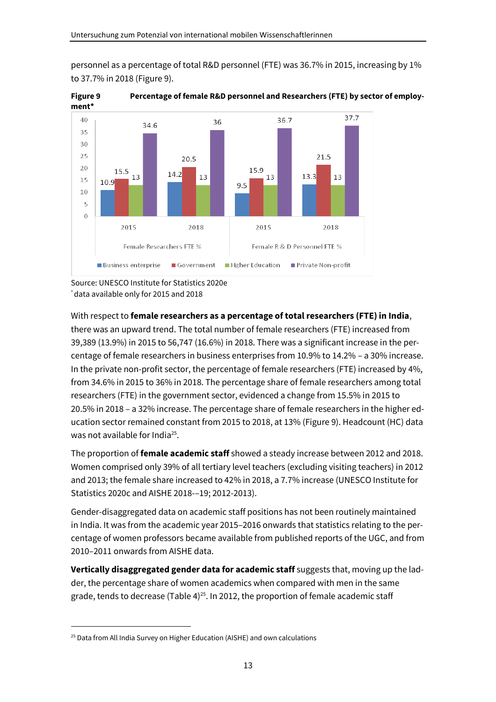

personnel as a percentage of total R&D personnel (FTE) was 36.7% in 2015, increasing by 1% to 37.7% in 2018 (Figure 9).



With respect to **female researchers as a percentage of total researchers (FTE) in India**, there was an upward trend. The total number of female researchers (FTE) increased from 39,389 (13.9%) in 2015 to 56,747 (16.6%) in 2018. There was a significant increase in the percentage of female researchers in business enterprises from 10.9% to 14.2% – a 30% increase. In the private non-profit sector, the percentage of female researchers (FTE) increased by 4%, from 34.6% in 2015 to 36% in 2018. The percentage share of female researchers among total researchers (FTE) in the government sector, evidenced a change from 15.5% in 2015 to 20.5% in 2018 – a 32% increase. The percentage share of female researchers in the higher education sector remained constant from 2015 to 2018, at 13% (Figure 9). Headcount (HC) data was not available for India<sup>25</sup>.

The proportion of **female academic staff** showed a steady increase between 2012 and 2018. Women comprised only 39% of all tertiary level teachers (excluding visiting teachers) in 2012 and 2013; the female share increased to 42% in 2018, a 7.7% increase (UNESCO Institute for Statistics 2020c and AISHE 2018-–19; 2012-2013).

Gender-disaggregated data on academic staff positions has not been routinely maintained in India. It was from the academic year 2015–2016 onwards that statistics relating to the percentage of women professors became available from published reports of the UGC, and from 2010–2011 onwards from AISHE data.

**Vertically disaggregated gender data for academic staff** suggests that, moving up the ladder, the percentage share of women academics when compared with men in the same grade, tends to decrease (Table  $4)^{25}$ . In 2012, the proportion of female academic staff

Source: UNESCO Institute for Statistics 2020e \* data available only for 2015 and 2018

<sup>&</sup>lt;sup>25</sup> Data from All India Survey on Higher Education (AISHE) and own calculations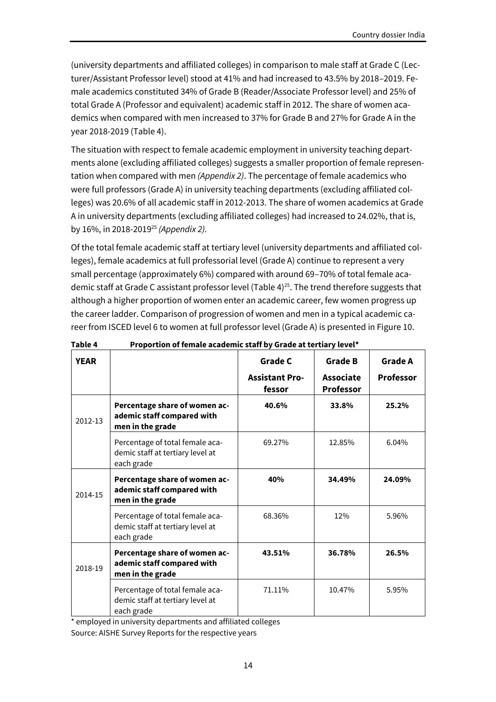(university departments and affiliated colleges) in comparison to male staff at Grade C (Lecturer/Assistant Professor level) stood at 41% and had increased to 43.5% by 2018–2019. Female academics constituted 34% of Grade B (Reader/Associate Professor level) and 25% of total Grade A (Professor and equivalent) academic staff in 2012. The share of women academics when compared with men increased to 37% for Grade B and 27% for Grade A in the year 2018-2019 (Table 4).

The situation with respect to female academic employment in university teaching departments alone (excluding affiliated colleges) suggests a smaller proportion of female representation when compared with men *(Appendix 2)*. The percentage of female academics who were full professors (Grade A) in university teaching departments (excluding affiliated colleges) was 20.6% of all academic staff in 2012-2013. The share of women academics at Grade A in university departments (excluding affiliated colleges) had increased to 24.02%, that is, by 16%, in 2018-2019<sup>25</sup> *(Appendix 2).*

Of the total female academic staff at tertiary level (university departments and affiliated colleges), female academics at full professorial level (Grade A) continue to represent a very small percentage (approximately 6%) compared with around 69–70% of total female academic staff at Grade C assistant professor level (Table 4)<sup>25</sup>. The trend therefore suggests that although a higher proportion of women enter an academic career, few women progress up the career ladder. Comparison of progression of women and men in a typical academic career from ISCED level 6 to women at full professor level (Grade A) is presented in Figure 10.

| <b>YEAR</b> |                                                                                   | <b>Grade C</b>                  | Grade B                       | <b>Grade A</b>   |
|-------------|-----------------------------------------------------------------------------------|---------------------------------|-------------------------------|------------------|
|             |                                                                                   | <b>Assistant Pro-</b><br>fessor | Associate<br><b>Professor</b> | <b>Professor</b> |
| 2012-13     | Percentage share of women ac-<br>ademic staff compared with<br>men in the grade   | 40.6%                           | 33.8%                         | 25.2%            |
|             | Percentage of total female aca-<br>demic staff at tertiary level at<br>each grade | 69.27%                          | 12.85%                        | 6.04%            |
| 2014-15     | Percentage share of women ac-<br>ademic staff compared with<br>men in the grade   | 40%                             | 34.49%                        | 24.09%           |
|             | Percentage of total female aca-<br>demic staff at tertiary level at<br>each grade | 68.36%                          | 12%                           | 5.96%            |
| 2018-19     | Percentage share of women ac-<br>ademic staff compared with<br>men in the grade   | 43.51%                          | 36.78%                        | 26.5%            |
|             | Percentage of total female aca-<br>demic staff at tertiary level at<br>each grade | 71.11%                          | 10.47%                        | 5.95%            |

#### **Table 4 Proportion of female academic staff by Grade at tertiary level\***

\* employed in university departments and affiliated colleges Source: AISHE Survey Reports for the respective years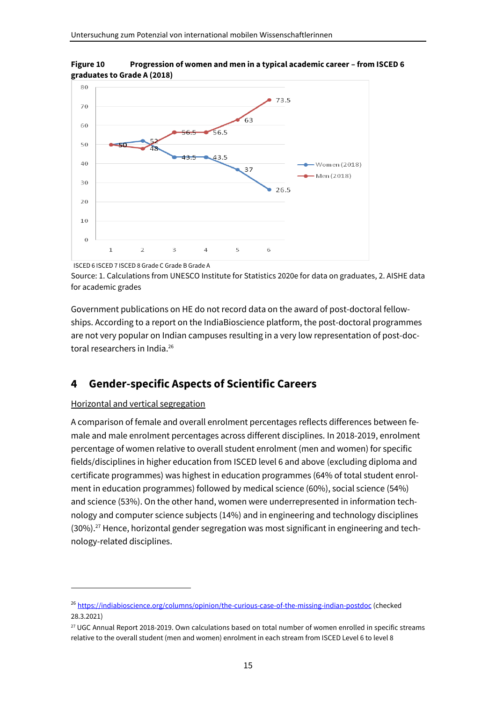

**Figure 10 Progression of women and men in a typical academic career – from ISCED 6 graduates to Grade A (2018)**

ISCED 6 ISCED 7 ISCED 8 Grade C Grade B Grade A

Source: 1. Calculations from UNESCO Institute for Statistics 2020e for data on graduates, 2. AISHE data for academic grades

Government publications on HE do not record data on the award of post-doctoral fellowships. According to a report on the IndiaBioscience platform, the post-doctoral programmes are not very popular on Indian campuses resulting in a very low representation of post-doctoral researchers in India.<sup>26</sup>

### <span id="page-18-0"></span>**4 Gender-specific Aspects of Scientific Careers**

#### Horizontal and vertical segregation

A comparison of female and overall enrolment percentages reflects differences between female and male enrolment percentages across different disciplines. In 2018-2019, enrolment percentage of women relative to overall student enrolment (men and women) for specific fields/disciplines in higher education from ISCED level 6 and above (excluding diploma and certificate programmes) was highest in education programmes (64% of total student enrolment in education programmes) followed by medical science (60%), social science (54%) and science (53%). On the other hand, women were underrepresented in information technology and computer science subjects (14%) and in engineering and technology disciplines (30%).<sup>27</sup> Hence, horizontal gender segregation was most significant in engineering and technology-related disciplines.

<sup>26</sup> <https://indiabioscience.org/columns/opinion/the-curious-case-of-the-missing-indian-postdoc> (checked 28.3.2021)

<sup>&</sup>lt;sup>27</sup> UGC Annual Report 2018-2019. Own calculations based on total number of women enrolled in specific streams relative to the overall student (men and women) enrolment in each stream from ISCED Level 6 to level 8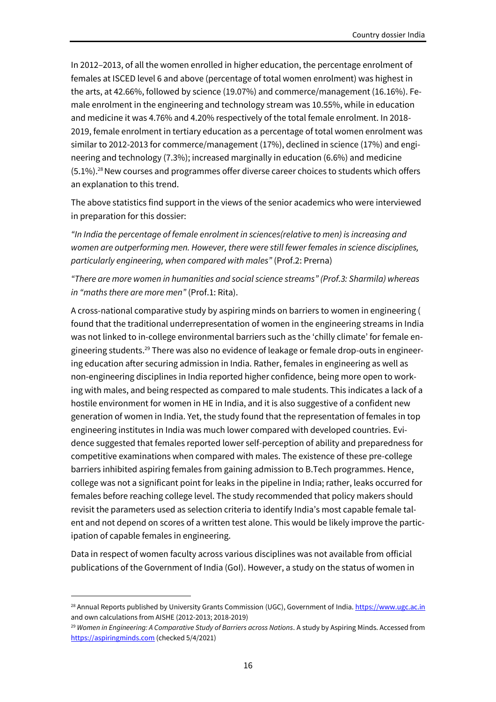In 2012–2013, of all the women enrolled in higher education, the percentage enrolment of females at ISCED level 6 and above (percentage of total women enrolment) was highest in the arts, at 42.66%, followed by science (19.07%) and commerce/management (16.16%). Female enrolment in the engineering and technology stream was 10.55%, while in education and medicine it was 4.76% and 4.20% respectively of the total female enrolment. In 2018- 2019, female enrolment in tertiary education as a percentage of total women enrolment was similar to 2012-2013 for commerce/management (17%), declined in science (17%) and engineering and technology (7.3%); increased marginally in education (6.6%) and medicine (5.1%).<sup>28</sup> New courses and programmes offer diverse career choices to students which offers an explanation to this trend.

The above statistics find support in the views of the senior academics who were interviewed in preparation for this dossier:

*"In India the percentage of female enrolment in sciences(relative to men) is increasing and women are outperforming men. However, there were still fewer females in science disciplines, particularly engineering, when compared with males"* (Prof.2: Prerna)

*"There are more women in humanities and social science streams" (Prof.3: Sharmila) whereas in "maths there are more men"* (Prof.1: Rita).

A cross-national comparative study by aspiring minds on barriers to women in engineering ( found that the traditional underrepresentation of women in the engineering streams in India was not linked to in-college environmental barriers such as the 'chilly climate' for female engineering students.<sup>29</sup> There was also no evidence of leakage or female drop-outs in engineering education after securing admission in India. Rather, females in engineering as well as non-engineering disciplines in India reported higher confidence, being more open to working with males, and being respected as compared to male students. This indicates a lack of a hostile environment for women in HE in India, and it is also suggestive of a confident new generation of women in India. Yet, the study found that the representation of females in top engineering institutes in India was much lower compared with developed countries. Evidence suggested that females reported lower self-perception of ability and preparedness for competitive examinations when compared with males. The existence of these pre-college barriers inhibited aspiring females from gaining admission to B.Tech programmes. Hence, college was not a significant point for leaks in the pipeline in India; rather, leaks occurred for females before reaching college level. The study recommended that policy makers should revisit the parameters used as selection criteria to identify India's most capable female talent and not depend on scores of a written test alone. This would be likely improve the participation of capable females in engineering.

Data in respect of women faculty across various disciplines was not available from official publications of the Government of India (GoI). However, a study on the status of women in

<sup>&</sup>lt;sup>28</sup> Annual Reports published by University Grants Commission (UGC), Government of India[. https://www.ugc.ac.in](https://www.ugc.ac.in/) and own calculations from AISHE (2012-2013; 2018-2019)

<sup>29</sup> *Women in Engineering: A Comparative Study of Barriers across Nations*. A study by Aspiring Minds. Accessed from [https://aspiringminds.com](https://aspiringminds.com/) (checked 5/4/2021)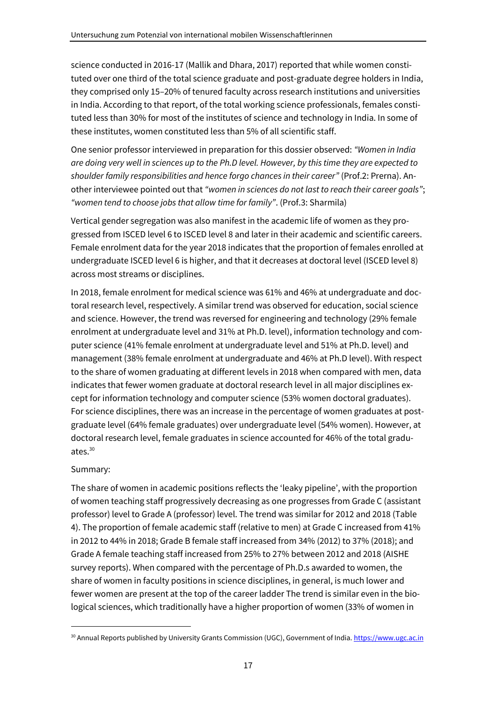science conducted in 2016-17 (Mallik and Dhara, 2017) reported that while women constituted over one third of the total science graduate and post-graduate degree holders in India, they comprised only 15–20% of tenured faculty across research institutions and universities in India. According to that report, of the total working science professionals, females constituted less than 30% for most of the institutes of science and technology in India. In some of these institutes, women constituted less than 5% of all scientific staff.

One senior professor interviewed in preparation for this dossier observed: *"Women in India are doing very well in sciences up to the Ph.D level. However, by this time they are expected to shoulder family responsibilities and hence forgo chances in their career"* (Prof.2: Prerna). Another interviewee pointed out that *"women in sciences do not last to reach their career goals"*; *"women tend to choose jobs that allow time for family"*. (Prof.3: Sharmila)

Vertical gender segregation was also manifest in the academic life of women as they progressed from ISCED level 6 to ISCED level 8 and later in their academic and scientific careers. Female enrolment data for the year 2018 indicates that the proportion of females enrolled at undergraduate ISCED level 6 is higher, and that it decreases at doctoral level (ISCED level 8) across most streams or disciplines.

In 2018, female enrolment for medical science was 61% and 46% at undergraduate and doctoral research level, respectively. A similar trend was observed for education, social science and science. However, the trend was reversed for engineering and technology (29% female enrolment at undergraduate level and 31% at Ph.D. level), information technology and computer science (41% female enrolment at undergraduate level and 51% at Ph.D. level) and management (38% female enrolment at undergraduate and 46% at Ph.D level). With respect to the share of women graduating at different levels in 2018 when compared with men, data indicates that fewer women graduate at doctoral research level in all major disciplines except for information technology and computer science (53% women doctoral graduates). For science disciplines, there was an increase in the percentage of women graduates at postgraduate level (64% female graduates) over undergraduate level (54% women). However, at doctoral research level, female graduates in science accounted for 46% of the total graduates.<sup>30</sup>

#### Summary:

The share of women in academic positions reflects the 'leaky pipeline', with the proportion of women teaching staff progressively decreasing as one progresses from Grade C (assistant professor) level to Grade A (professor) level. The trend was similar for 2012 and 2018 (Table 4). The proportion of female academic staff (relative to men) at Grade C increased from 41% in 2012 to 44% in 2018; Grade B female staff increased from 34% (2012) to 37% (2018); and Grade A female teaching staff increased from 25% to 27% between 2012 and 2018 (AISHE survey reports). When compared with the percentage of Ph.D.s awarded to women, the share of women in faculty positions in science disciplines, in general, is much lower and fewer women are present at the top of the career ladder The trend is similar even in the biological sciences, which traditionally have a higher proportion of women (33% of women in

<sup>30</sup> Annual Reports published by University Grants Commission (UGC), Government of India[. https://www.ugc.ac.in](https://www.ugc.ac.in/)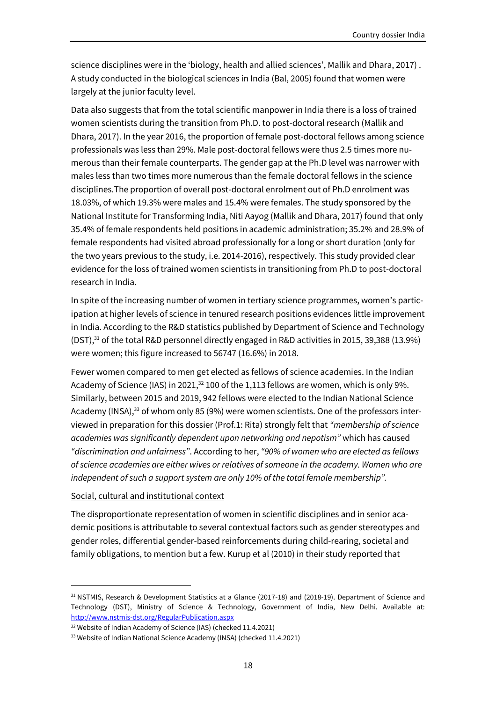science disciplines were in the 'biology, health and allied sciences', Mallik and Dhara, 2017) . A study conducted in the biological sciences in India (Bal, 2005) found that women were largely at the junior faculty level.

Data also suggests that from the total scientific manpower in India there is a loss of trained women scientists during the transition from Ph.D. to post-doctoral research (Mallik and Dhara, 2017). In the year 2016, the proportion of female post-doctoral fellows among science professionals was less than 29%. Male post-doctoral fellows were thus 2.5 times more numerous than their female counterparts. The gender gap at the Ph.D level was narrower with males less than two times more numerous than the female doctoral fellows in the science disciplines.The proportion of overall post-doctoral enrolment out of Ph.D enrolment was 18.03%, of which 19.3% were males and 15.4% were females. The study sponsored by the National Institute for Transforming India, Niti Aayog (Mallik and Dhara, 2017) found that only 35.4% of female respondents held positions in academic administration; 35.2% and 28.9% of female respondents had visited abroad professionally for a long or short duration (only for the two years previous to the study, i.e. 2014-2016), respectively. This study provided clear evidence for the loss of trained women scientists in transitioning from Ph.D to post-doctoral research in India.

In spite of the increasing number of women in tertiary science programmes, women's participation at higher levels of science in tenured research positions evidences little improvement in India. According to the R&D statistics published by Department of Science and Technology (DST),<sup>31</sup> of the total R&D personnel directly engaged in R&D activities in 2015, 39,388 (13.9%) were women; this figure increased to 56747 (16.6%) in 2018.

Fewer women compared to men get elected as fellows of science academies. In the Indian Academy of Science (IAS) in 2021,<sup>32</sup> 100 of the 1,113 fellows are women, which is only 9%. Similarly, between 2015 and 2019, 942 fellows were elected to the Indian National Science Academy (INSA), $^{33}$  of whom only 85 (9%) were women scientists. One of the professors interviewed in preparation for this dossier (Prof.1: Rita) strongly felt that *"membership of science academies was significantly dependent upon networking and nepotism"* which has caused *"discrimination and unfairness"*. According to her, *"90% of women who are elected as fellows of science academies are either wives or relatives of someone in the academy. Women who are independent of such a support system are only 10% of the total female membership".*

#### Social, cultural and institutional context

The disproportionate representation of women in scientific disciplines and in senior academic positions is attributable to several contextual factors such as gender stereotypes and gender roles, differential gender-based reinforcements during child-rearing, societal and family obligations, to mention but a few. Kurup et al (2010) in their study reported that

<sup>31</sup> NSTMIS, Research & Development Statistics at a Glance (2017-18) and (2018-19). Department of Science and Technology (DST), Ministry of Science & Technology, Government of India, New Delhi. Available at: <http://www.nstmis-dst.org/RegularPublication.aspx>

<sup>32</sup> Website of Indian Academy of Science (IAS) (checked 11.4.2021)

<sup>33</sup> Website of Indian National Science Academy (INSA) (checked 11.4.2021)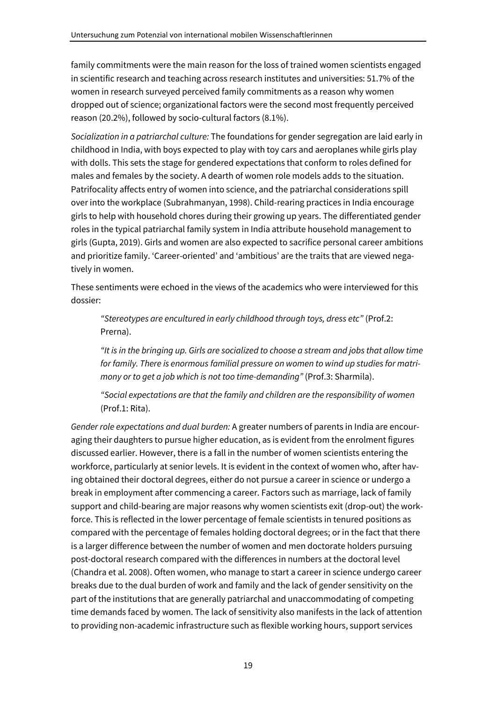family commitments were the main reason for the loss of trained women scientists engaged in scientific research and teaching across research institutes and universities: 51.7% of the women in research surveyed perceived family commitments as a reason why women dropped out of science; organizational factors were the second most frequently perceived reason (20.2%), followed by socio-cultural factors (8.1%).

*Socialization in a patriarchal culture:* The foundations for gender segregation are laid early in childhood in India, with boys expected to play with toy cars and aeroplanes while girls play with dolls. This sets the stage for gendered expectations that conform to roles defined for males and females by the society. A dearth of women role models adds to the situation. Patrifocality affects entry of women into science, and the patriarchal considerations spill over into the workplace (Subrahmanyan, 1998). Child-rearing practices in India encourage girls to help with household chores during their growing up years. The differentiated gender roles in the typical patriarchal family system in India attribute household management to girls (Gupta, 2019). Girls and women are also expected to sacrifice personal career ambitions and prioritize family. 'Career-oriented' and 'ambitious' are the traits that are viewed negatively in women.

These sentiments were echoed in the views of the academics who were interviewed for this dossier:

*"Stereotypes are encultured in early childhood through toys, dress etc"* (Prof.2: Prerna).

*"It is in the bringing up. Girls are socialized to choose a stream and jobs that allow time for family. There is enormous familial pressure on women to wind up studies for matrimony or to get a job which is not too time-demanding"* (Prof.3: Sharmila).

*"Social expectations are that the family and children are the responsibility of women* (Prof.1: Rita).

*Gender role expectations and dual burden:* A greater numbers of parents in India are encouraging their daughters to pursue higher education, as is evident from the enrolment figures discussed earlier. However, there is a fall in the number of women scientists entering the workforce, particularly at senior levels. It is evident in the context of women who, after having obtained their doctoral degrees, either do not pursue a career in science or undergo a break in employment after commencing a career. Factors such as marriage, lack of family support and child-bearing are major reasons why women scientists exit (drop-out) the workforce. This is reflected in the lower percentage of female scientists in tenured positions as compared with the percentage of females holding doctoral degrees; or in the fact that there is a larger difference between the number of women and men doctorate holders pursuing post-doctoral research compared with the differences in numbers at the doctoral level (Chandra et al. 2008). Often women, who manage to start a career in science undergo career breaks due to the dual burden of work and family and the lack of gender sensitivity on the part of the institutions that are generally patriarchal and unaccommodating of competing time demands faced by women. The lack of sensitivity also manifests in the lack of attention to providing non-academic infrastructure such as flexible working hours, support services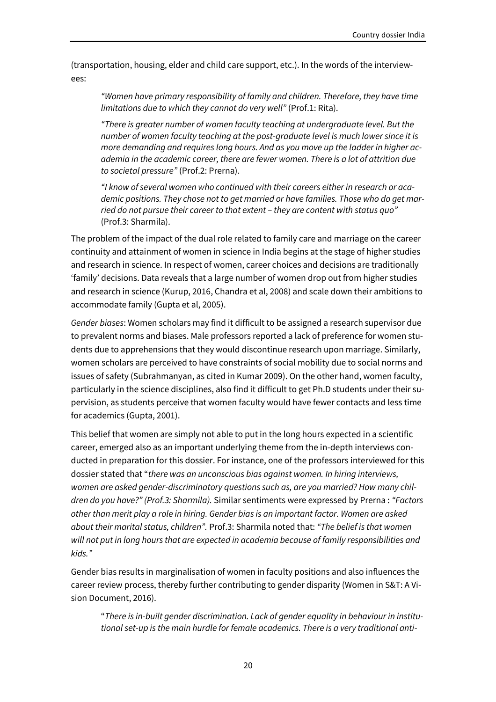(transportation, housing, elder and child care support, etc.). In the words of the interviewees:

*"Women have primary responsibility of family and children. Therefore, they have time limitations due to which they cannot do very well"* (Prof.1: Rita).

*"There is greater number of women faculty teaching at undergraduate level. But the number of women faculty teaching at the post-graduate level is much lower since it is more demanding and requires long hours. And as you move up the ladder in higher academia in the academic career, there are fewer women. There is a lot of attrition due to societal pressure"* (Prof.2: Prerna).

*"I know of several women who continued with their careers either in research or academic positions. They chose not to get married or have families. Those who do get married do not pursue their career to that extent – they are content with status quo"* (Prof.3: Sharmila).

The problem of the impact of the dual role related to family care and marriage on the career continuity and attainment of women in science in India begins at the stage of higher studies and research in science. In respect of women, career choices and decisions are traditionally 'family' decisions. Data reveals that a large number of women drop out from higher studies and research in science (Kurup, 2016, Chandra et al, 2008) and scale down their ambitions to accommodate family (Gupta et al, 2005).

*Gender biases*: Women scholars may find it difficult to be assigned a research supervisor due to prevalent norms and biases. Male professors reported a lack of preference for women students due to apprehensions that they would discontinue research upon marriage. Similarly, women scholars are perceived to have constraints of social mobility due to social norms and issues of safety (Subrahmanyan, as cited in Kumar 2009). On the other hand, women faculty, particularly in the science disciplines, also find it difficult to get Ph.D students under their supervision, as students perceive that women faculty would have fewer contacts and less time for academics (Gupta, 2001).

This belief that women are simply not able to put in the long hours expected in a scientific career, emerged also as an important underlying theme from the in-depth interviews conducted in preparation for this dossier. For instance, one of the professors interviewed for this dossier stated that "*there was an unconscious bias against women. In hiring interviews, women are asked gender-discriminatory questions such as, are you married? How many children do you have?" (Prof.3: Sharmila).* Similar sentiments were expressed by Prerna : *"Factors other than merit play a role in hiring. Gender bias is an important factor. Women are asked about their marital status, children".* Prof.3: Sharmila noted that: *"The belief is that women will not put in long hours that are expected in academia because of family responsibilities and kids."*

Gender bias results in marginalisation of women in faculty positions and also influences the career review process, thereby further contributing to gender disparity (Women in S&T: A Vision Document, 2016).

"*There is in-built gender discrimination. Lack of gender equality in behaviour in institutional set-up is the main hurdle for female academics. There is a very traditional anti-*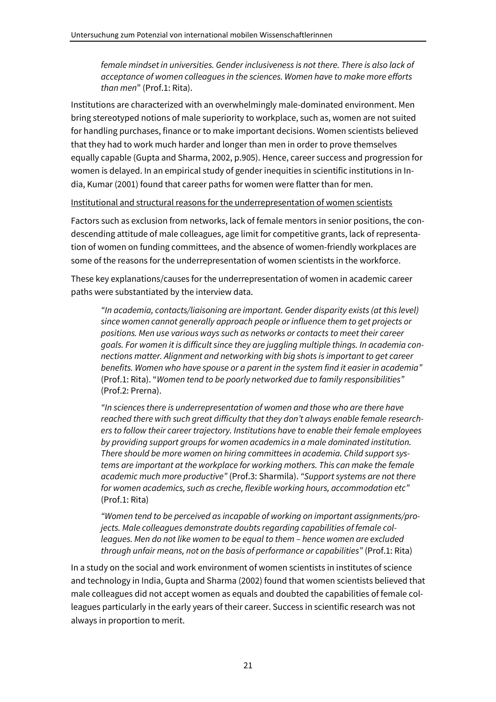*female mindset in universities. Gender inclusiveness is not there. There is also lack of acceptance of women colleagues in the sciences. Women have to make more efforts than men*" (Prof.1: Rita).

Institutions are characterized with an overwhelmingly male-dominated environment. Men bring stereotyped notions of male superiority to workplace, such as, women are not suited for handling purchases, finance or to make important decisions. Women scientists believed that they had to work much harder and longer than men in order to prove themselves equally capable (Gupta and Sharma, 2002, p.905). Hence, career success and progression for women is delayed. In an empirical study of gender inequities in scientific institutions in India, Kumar (2001) found that career paths for women were flatter than for men.

Institutional and structural reasons for the underrepresentation of women scientists

Factors such as exclusion from networks, lack of female mentors in senior positions, the condescending attitude of male colleagues, age limit for competitive grants, lack of representation of women on funding committees, and the absence of women-friendly workplaces are some of the reasons for the underrepresentation of women scientists in the workforce.

These key explanations/causes for the underrepresentation of women in academic career paths were substantiated by the interview data.

*"In academia, contacts/liaisoning are important. Gender disparity exists (at this level) since women cannot generally approach people or influence them to get projects or positions. Men use various ways such as networks or contacts to meet their career goals. For women it is difficult since they are juggling multiple things. In academia connections matter. Alignment and networking with big shots is important to get career benefits. Women who have spouse or a parent in the system find it easier in academia"* (Prof.1: Rita). "*Women tend to be poorly networked due to family responsibilities"* (Prof.2: Prerna).

*"In sciences there is underrepresentation of women and those who are there have reached there with such great difficulty that they don't always enable female researchers to follow their career trajectory. Institutions have to enable their female employees by providing support groups for women academics in a male dominated institution. There should be more women on hiring committees in academia. Child support systems are important at the workplace for working mothers. This can make the female academic much more productive"* (Prof.3: Sharmila). *"Support systems are not there for women academics, such as creche, flexible working hours, accommodation etc"* (Prof.1: Rita)

*"Women tend to be perceived as incapable of working on important assignments/projects. Male colleagues demonstrate doubts regarding capabilities of female colleagues. Men do not like women to be equal to them – hence women are excluded through unfair means, not on the basis of performance or capabilities"* (Prof.1: Rita)

In a study on the social and work environment of women scientists in institutes of science and technology in India, Gupta and Sharma (2002) found that women scientists believed that male colleagues did not accept women as equals and doubted the capabilities of female colleagues particularly in the early years of their career. Success in scientific research was not always in proportion to merit.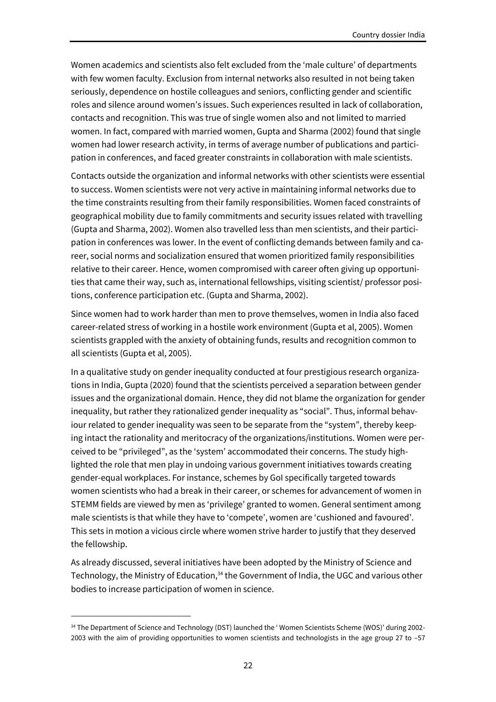Women academics and scientists also felt excluded from the 'male culture' of departments with few women faculty. Exclusion from internal networks also resulted in not being taken seriously, dependence on hostile colleagues and seniors, conflicting gender and scientific roles and silence around women's issues. Such experiences resulted in lack of collaboration, contacts and recognition. This was true of single women also and not limited to married women. In fact, compared with married women, Gupta and Sharma (2002) found that single women had lower research activity, in terms of average number of publications and participation in conferences, and faced greater constraints in collaboration with male scientists.

Contacts outside the organization and informal networks with other scientists were essential to success. Women scientists were not very active in maintaining informal networks due to the time constraints resulting from their family responsibilities. Women faced constraints of geographical mobility due to family commitments and security issues related with travelling (Gupta and Sharma, 2002). Women also travelled less than men scientists, and their participation in conferences was lower. In the event of conflicting demands between family and career, social norms and socialization ensured that women prioritized family responsibilities relative to their career. Hence, women compromised with career often giving up opportunities that came their way, such as, international fellowships, visiting scientist/ professor positions, conference participation etc. (Gupta and Sharma, 2002).

Since women had to work harder than men to prove themselves, women in India also faced career-related stress of working in a hostile work environment (Gupta et al, 2005). Women scientists grappled with the anxiety of obtaining funds, results and recognition common to all scientists (Gupta et al, 2005).

In a qualitative study on gender inequality conducted at four prestigious research organizations in India, Gupta (2020) found that the scientists perceived a separation between gender issues and the organizational domain. Hence, they did not blame the organization for gender inequality, but rather they rationalized gender inequality as "social". Thus, informal behaviour related to gender inequality was seen to be separate from the "system", thereby keeping intact the rationality and meritocracy of the organizations/institutions. Women were perceived to be "privileged", as the 'system' accommodated their concerns. The study highlighted the role that men play in undoing various government initiatives towards creating gender-equal workplaces. For instance, schemes by GoI specifically targeted towards women scientists who had a break in their career, or schemes for advancement of women in STEMM fields are viewed by men as 'privilege' granted to women. General sentiment among male scientists is that while they have to 'compete', women are 'cushioned and favoured'. This sets in motion a vicious circle where women strive harder to justify that they deserved the fellowship.

As already discussed, several initiatives have been adopted by the Ministry of Science and Technology, the Ministry of Education,<sup>34</sup> the Government of India, the UGC and various other bodies to increase participation of women in science.

<sup>&</sup>lt;sup>34</sup> The Department of Science and Technology (DST) launched the 'Women Scientists Scheme (WOS)' during 2002-2003 with the aim of providing opportunities to women scientists and technologists in the age group 27 to –57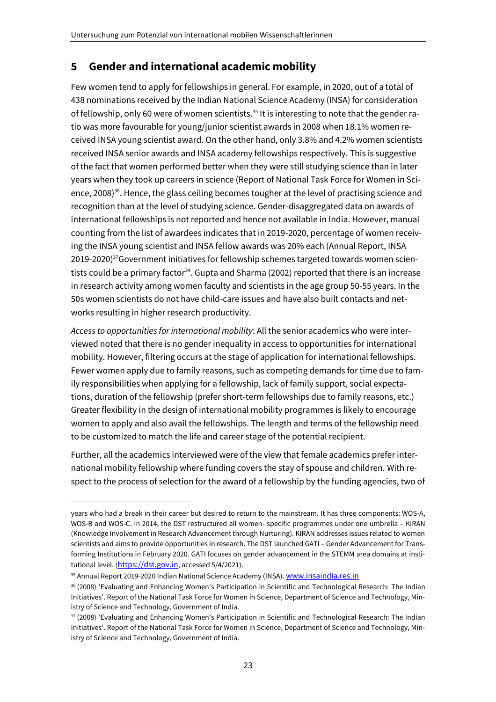## <span id="page-26-0"></span>**5 Gender and international academic mobility**

Few women tend to apply for fellowships in general. For example, in 2020, out of a total of 438 nominations received by the Indian National Science Academy (INSA) for consideration of fellowship, only 60 were of women scientists.<sup>35</sup> It is interesting to note that the gender ratio was more favourable for young/junior scientist awards in 2008 when 18.1% women received INSA young scientist award. On the other hand, only 3.8% and 4.2% women scientists received INSA senior awards and INSA academy fellowships respectively. This is suggestive of the fact that women performed better when they were still studying science than in later years when they took up careers in science (Report of National Task Force for Women in Science, 2008)<sup>36</sup>. Hence, the glass ceiling becomes tougher at the level of practising science and recognition than at the level of studying science. Gender-disaggregated data on awards of international fellowships is not reported and hence not available in India. However, manual counting from the list of awardees indicates that in 2019-2020, percentage of women receiving the INSA young scientist and INSA fellow awards was 20% each (Annual Report, INSA 2019-2020)<sup>37</sup>Government initiatives for fellowship schemes targeted towards women scientists could be a primary factor<sup>34</sup>. Gupta and Sharma (2002) reported that there is an increase in research activity among women faculty and scientists in the age group 50-55 years. In the 50s women scientists do not have child-care issues and have also built contacts and networks resulting in higher research productivity.

*Access to opportunities for international mobility*: All the senior academics who were interviewed noted that there is no gender inequality in access to opportunities for international mobility. However, filtering occurs at the stage of application for international fellowships. Fewer women apply due to family reasons, such as competing demands for time due to family responsibilities when applying for a fellowship, lack of family support, social expectations, duration of the fellowship (prefer short-term fellowships due to family reasons, etc.) Greater flexibility in the design of international mobility programmes is likely to encourage women to apply and also avail the fellowships. The length and terms of the fellowship need to be customized to match the life and career stage of the potential recipient.

Further, all the academics interviewed were of the view that female academics prefer international mobility fellowship where funding covers the stay of spouse and children. With respect to the process of selection for the award of a fellowship by the funding agencies, two of

years who had a break in their career but desired to return to the mainstream. It has three components: WOS-A, WOS-B and WOS-C. In 2014, the DST restructured all women- specific programmes under one umbrella – KIRAN (Knowledge Involvement in Research Advancement through Nurturing). KIRAN addresses issues related to women scientists and aims to provide opportunities in research. The DST launched GATI – Gender Advancement for Transforming Institutions in February 2020. GATI focuses on gender advancement in the STEMM area domains at institutional level. ([https://dst.gov.in](https://dst.gov.in/), accessed 5/4/2021).

<sup>35</sup> Annual Report 2019-2020 Indian National Science Academy (INSA). [www.insaindia.res.in](http://www.insaindia.res.in/)

<sup>36</sup> (2008) 'Evaluating and Enhancing Women's Participation in Scientific and Technological Research: The Indian Initiatives'. Report of the National Task Force for Women in Science, Department of Science and Technology, Ministry of Science and Technology, Government of India.

<sup>37</sup> (2008) 'Evaluating and Enhancing Women's Participation in Scientific and Technological Research: The Indian Initiatives'. Report of the National Task Force for Women in Science, Department of Science and Technology, Ministry of Science and Technology, Government of India.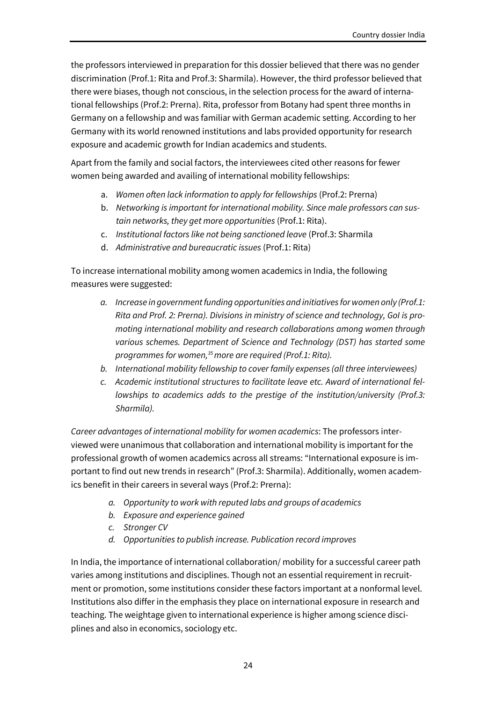the professors interviewed in preparation for this dossier believed that there was no gender discrimination (Prof.1: Rita and Prof.3: Sharmila). However, the third professor believed that there were biases, though not conscious, in the selection process for the award of international fellowships (Prof.2: Prerna). Rita, professor from Botany had spent three months in Germany on a fellowship and was familiar with German academic setting. According to her Germany with its world renowned institutions and labs provided opportunity for research exposure and academic growth for Indian academics and students.

Apart from the family and social factors, the interviewees cited other reasons for fewer women being awarded and availing of international mobility fellowships:

- a. *Women often lack information to apply for fellowships* (Prof.2: Prerna)
- b. *Networking is important for international mobility. Since male professors can sustain networks, they get more opportunities* (Prof.1: Rita).
- c. *Institutional factors like not being sanctioned leave* (Prof.3: Sharmila
- d. *Administrative and bureaucratic issues* (Prof.1: Rita)

To increase international mobility among women academics in India, the following measures were suggested:

- *a. Increase in government funding opportunities and initiatives for women only (Prof.1: Rita and Prof. 2: Prerna). Divisions in ministry of science and technology, GoI is promoting international mobility and research collaborations among women through various schemes. Department of Science and Technology (DST) has started some programmes for women,<sup>35</sup>more are required (Prof.1: Rita).*
- *b. International mobility fellowship to cover family expenses (all three interviewees)*
- *c. Academic institutional structures to facilitate leave etc. Award of international fellowships to academics adds to the prestige of the institution/university (Prof.3: Sharmila).*

*Career advantages of international mobility for women academics*: The professors interviewed were unanimous that collaboration and international mobility is important for the professional growth of women academics across all streams: "International exposure is important to find out new trends in research" (Prof.3: Sharmila). Additionally, women academics benefit in their careers in several ways (Prof.2: Prerna):

- *a. Opportunity to work with reputed labs and groups of academics*
- *b. Exposure and experience gained*
- *c. Stronger CV*
- *d. Opportunities to publish increase. Publication record improves*

In India, the importance of international collaboration/ mobility for a successful career path varies among institutions and disciplines. Though not an essential requirement in recruitment or promotion, some institutions consider these factors important at a nonformal level. Institutions also differ in the emphasis they place on international exposure in research and teaching. The weightage given to international experience is higher among science disciplines and also in economics, sociology etc.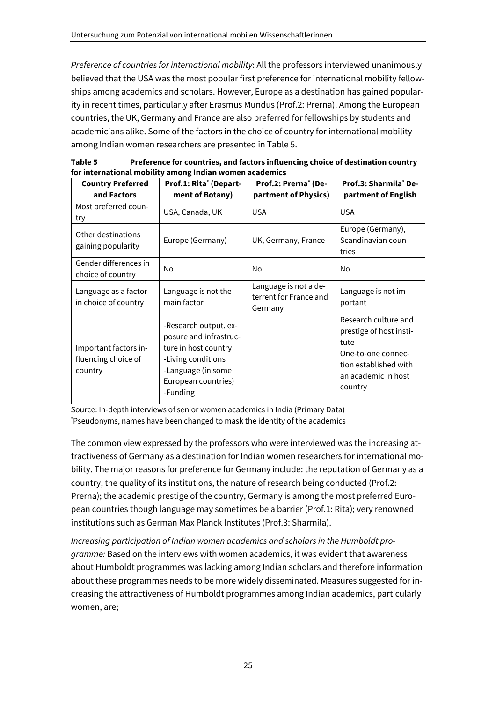*Preference of countries for international mobility*: All the professors interviewed unanimously believed that the USA was the most popular first preference for international mobility fellowships among academics and scholars. However, Europe as a destination has gained popularity in recent times, particularly after Erasmus Mundus (Prof.2: Prerna). Among the European countries, the UK, Germany and France are also preferred for fellowships by students and academicians alike. Some of the factors in the choice of country for international mobility among Indian women researchers are presented in Table 5.

| Table 5 | Preference for countries, and factors influencing choice of destination country |
|---------|---------------------------------------------------------------------------------|
|         | for international mobility among Indian women academics                         |

| <b>Country Preferred</b><br>and Factors                 | Prof.1: Rita <sup>*</sup> (Depart-<br>ment of Botany)                                                                                                  | Prof.2: Prerna <sup>*</sup> (De-<br>partment of Physics)   | Prof.3: Sharmila* De-<br>partment of English                                                                                             |
|---------------------------------------------------------|--------------------------------------------------------------------------------------------------------------------------------------------------------|------------------------------------------------------------|------------------------------------------------------------------------------------------------------------------------------------------|
| Most preferred coun-<br>try                             | USA, Canada, UK                                                                                                                                        | <b>USA</b>                                                 | <b>USA</b>                                                                                                                               |
| Other destinations<br>gaining popularity                | Europe (Germany)                                                                                                                                       | UK, Germany, France                                        | Europe (Germany),<br>Scandinavian coun-<br>tries                                                                                         |
| Gender differences in<br>choice of country              | No                                                                                                                                                     | No.                                                        | No                                                                                                                                       |
| Language as a factor<br>in choice of country            | Language is not the<br>main factor                                                                                                                     | Language is not a de-<br>terrent for France and<br>Germany | Language is not im-<br>portant                                                                                                           |
| Important factors in-<br>fluencing choice of<br>country | -Research output, ex-<br>posure and infrastruc-<br>ture in host country<br>-Living conditions<br>-Language (in some<br>European countries)<br>-Funding |                                                            | Research culture and<br>prestige of host insti-<br>tute<br>One-to-one connec-<br>tion established with<br>an academic in host<br>country |

Source: In-depth interviews of senior women academics in India (Primary Data) \*Pseudonyms, names have been changed to mask the identity of the academics

The common view expressed by the professors who were interviewed was the increasing attractiveness of Germany as a destination for Indian women researchers for international mobility. The major reasons for preference for Germany include: the reputation of Germany as a country, the quality of its institutions, the nature of research being conducted (Prof.2: Prerna); the academic prestige of the country, Germany is among the most preferred European countries though language may sometimes be a barrier (Prof.1: Rita); very renowned institutions such as German Max Planck Institutes (Prof.3: Sharmila).

*Increasing participation of Indian women academics and scholars in the Humboldt programme:* Based on the interviews with women academics, it was evident that awareness about Humboldt programmes was lacking among Indian scholars and therefore information about these programmes needs to be more widely disseminated. Measures suggested for increasing the attractiveness of Humboldt programmes among Indian academics, particularly women, are;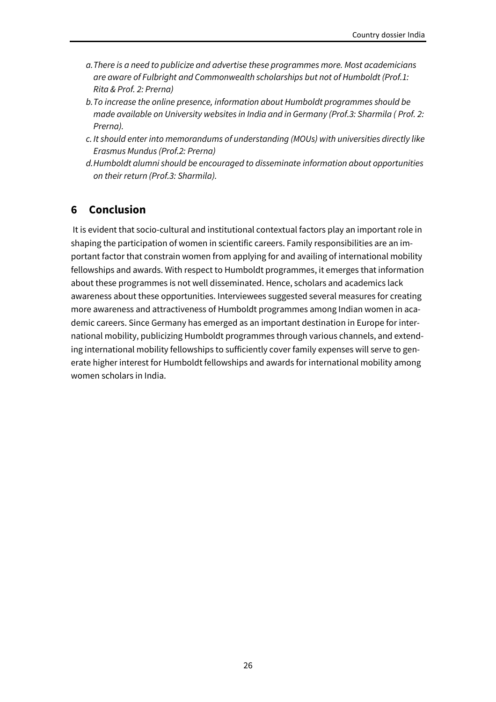- *a.There is a need to publicize and advertise these programmes more. Most academicians are aware of Fulbright and Commonwealth scholarships but not of Humboldt (Prof.1: Rita & Prof. 2: Prerna)*
- *b.To increase the online presence, information about Humboldt programmes should be made available on University websites in India and in Germany (Prof.3: Sharmila ( Prof. 2: Prerna).*
- *c. It should enter into memorandums of understanding (MOUs) with universities directly like Erasmus Mundus (Prof.2: Prerna)*
- *d.Humboldt alumni should be encouraged to disseminate information about opportunities on their return (Prof.3: Sharmila).*

## <span id="page-29-0"></span>**6 Conclusion**

It is evident that socio-cultural and institutional contextual factors play an important role in shaping the participation of women in scientific careers. Family responsibilities are an important factor that constrain women from applying for and availing of international mobility fellowships and awards. With respect to Humboldt programmes, it emerges that information about these programmes is not well disseminated. Hence, scholars and academics lack awareness about these opportunities. Interviewees suggested several measures for creating more awareness and attractiveness of Humboldt programmes among Indian women in academic careers. Since Germany has emerged as an important destination in Europe for international mobility, publicizing Humboldt programmes through various channels, and extending international mobility fellowships to sufficiently cover family expenses will serve to generate higher interest for Humboldt fellowships and awards for international mobility among women scholars in India.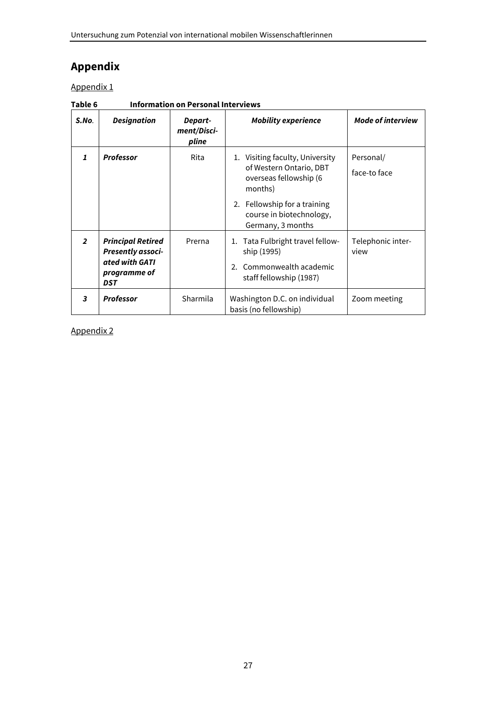# <span id="page-30-0"></span>**Appendix**

Appendix 1

| S.No.          | <b>Designation</b>                                                                                   | Depart-<br>ment/Disci-<br>pline | <b>Mobility experience</b>                                                                                                                                                       | <b>Mode of interview</b>  |
|----------------|------------------------------------------------------------------------------------------------------|---------------------------------|----------------------------------------------------------------------------------------------------------------------------------------------------------------------------------|---------------------------|
| $\mathbf{1}$   | <b>Professor</b>                                                                                     | Rita                            | 1. Visiting faculty, University<br>of Western Ontario, DBT<br>overseas fellowship (6<br>months)<br>2. Fellowship for a training<br>course in biotechnology,<br>Germany, 3 months | Personal/<br>face-to face |
| $\overline{2}$ | <b>Principal Retired</b><br><b>Presently associ-</b><br>ated with GATI<br>programme of<br><b>DST</b> | Prerna                          | -Tata Fulbright travel fellow<br>1.<br>ship (1995)<br>2. Commonwealth academic<br>staff fellowship (1987)                                                                        | Telephonic inter-<br>view |
| 3              | <b>Professor</b>                                                                                     | Sharmila                        | Washington D.C. on individual<br>Zoom meeting<br>basis (no fellowship)                                                                                                           |                           |

**Table 6 Information on Personal Interviews**

Appendix 2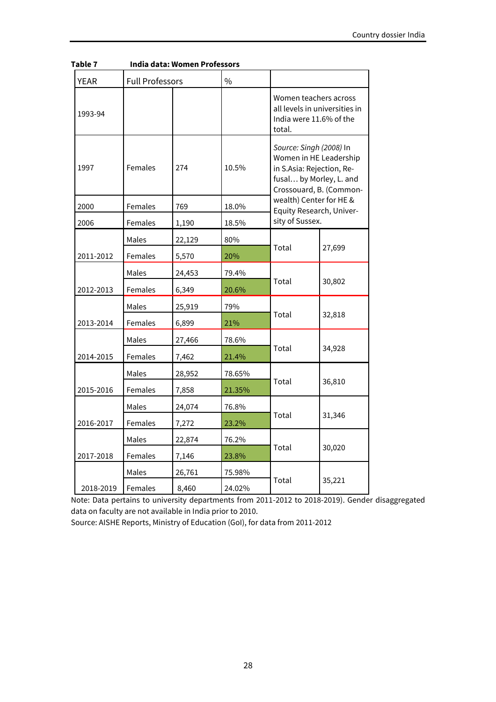| <b>YEAR</b> | <b>Full Professors</b> |        | $\frac{0}{0}$ |                                                            |                                                                                                                                      |  |
|-------------|------------------------|--------|---------------|------------------------------------------------------------|--------------------------------------------------------------------------------------------------------------------------------------|--|
| 1993-94     |                        |        |               | Women teachers across<br>India were 11.6% of the<br>total. | all levels in universities in                                                                                                        |  |
| 1997        | Females                | 274    | 10.5%         |                                                            | Source: Singh (2008) In<br>Women in HE Leadership<br>in S.Asia: Rejection, Re-<br>fusal by Morley, L. and<br>Crossouard, B. (Common- |  |
| 2000        | Females                | 769    | 18.0%         | wealth) Center for HE &<br>Equity Research, Univer-        |                                                                                                                                      |  |
| 2006        | Females                | 1,190  | 18.5%         | sity of Sussex.                                            |                                                                                                                                      |  |
|             | Males                  | 22,129 | 80%           |                                                            |                                                                                                                                      |  |
| 2011-2012   | Females                | 5,570  | 20%           | Total                                                      | 27,699                                                                                                                               |  |
|             | Males                  | 24,453 | 79.4%         |                                                            | 30,802                                                                                                                               |  |
| 2012-2013   | Females                | 6,349  | 20.6%         | Total                                                      |                                                                                                                                      |  |
|             | Males                  | 25,919 | 79%           |                                                            |                                                                                                                                      |  |
| 2013-2014   | Females                | 6,899  | 21%           | Total                                                      | 32,818                                                                                                                               |  |
|             | Males                  | 27,466 | 78.6%         |                                                            |                                                                                                                                      |  |
| 2014-2015   | Females                | 7,462  | 21.4%         | Total                                                      | 34,928                                                                                                                               |  |
|             | Males                  | 28,952 | 78.65%        |                                                            |                                                                                                                                      |  |
| 2015-2016   | Females                | 7,858  | 21.35%        | Total                                                      | 36,810                                                                                                                               |  |
|             | Males                  | 24,074 | 76.8%         |                                                            |                                                                                                                                      |  |
| 2016-2017   | Females                | 7,272  | 23.2%         | Total                                                      | 31,346                                                                                                                               |  |
|             | Males                  | 22,874 | 76.2%         |                                                            |                                                                                                                                      |  |
| 2017-2018   | Females                | 7,146  | 23.8%         | Total                                                      | 30,020                                                                                                                               |  |
|             | Males                  | 26,761 | 75.98%        |                                                            |                                                                                                                                      |  |
| 2018-2019   | Females                | 8,460  | 24.02%        | Total                                                      | 35,221                                                                                                                               |  |

| Table 7 | India data: Women Professors |  |
|---------|------------------------------|--|
|---------|------------------------------|--|

Note: Data pertains to university departments from 2011-2012 to 2018-2019). Gender disaggregated data on faculty are not available in India prior to 2010.

Source: AISHE Reports, Ministry of Education (GoI), for data from 2011-2012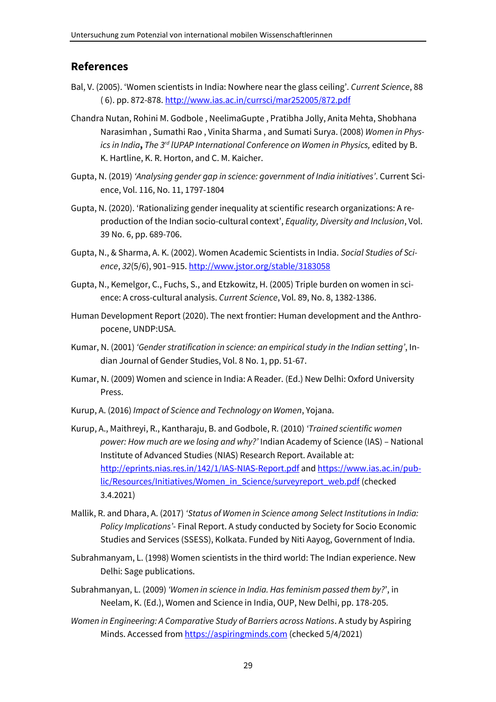### <span id="page-32-0"></span>**References**

- Bal, V. (2005). 'Women scientists in India: Nowhere near the glass ceiling'. *Current Science*, 88 ( 6). pp. 872-878.<http://www.ias.ac.in/currsci/mar252005/872.pdf>
- Chandra Nutan, Rohini M. Godbole , NeelimaGupte , Pratibha Jolly, Anita Mehta, Shobhana Narasimhan , Sumathi Rao , Vinita Sharma , and Sumati Surya. (2008) *Women in Physics in India***,** *The 3rd lUPAP International Conference on Women in Physics,* edited by B. K. Hartline, K. R. Horton, and C. M. Kaicher.
- Gupta, N. (2019) *'Analysing gender gap in science: government of India initiatives'*. Current Science, Vol. 116, No. 11, 1797-1804
- Gupta, N. (2020). 'Rationalizing gender inequality at scientific research organizations: A reproduction of the Indian socio-cultural context', *Equality, Diversity and Inclusion*, Vol. 39 No. 6, pp. 689-706.
- Gupta, N., & Sharma, A. K. (2002). Women Academic Scientists in India. *Social Studies of Science*, *32*(5/6), 901–915. http://www.jstor.org/stable/3183058
- Gupta, N., Kemelgor, C., Fuchs, S., and Etzkowitz, H. (2005) Triple burden on women in science: A cross-cultural analysis. *Current Science*, Vol. 89, No. 8, 1382-1386.
- Human Development Report (2020). The next frontier: Human development and the Anthropocene, UNDP:USA.
- Kumar, N. (2001) *'Gender stratification in science: an empirical study in the Indian setting'*, Indian Journal of Gender Studies, Vol. 8 No. 1, pp. 51-67.
- Kumar, N. (2009) Women and science in India: A Reader. (Ed.) New Delhi: Oxford University Press.
- Kurup, A. (2016) *Impact of Science and Technology on Women*, Yojana.
- Kurup, A., Maithreyi, R., Kantharaju, B. and Godbole, R. (2010) *'Trained scientific women power: How much are we losing and why?'* Indian Academy of Science (IAS) – National Institute of Advanced Studies (NIAS) Research Report. Available at: <http://eprints.nias.res.in/142/1/IAS-NIAS-Report.pdf> and [https://www.ias.ac.in/pub](https://www.ias.ac.in/public/Resources/Initiatives/Women_in_Science/surveyreport_web.pdf)[lic/Resources/Initiatives/Women\\_in\\_Science/surveyreport\\_web.pdf](https://www.ias.ac.in/public/Resources/Initiatives/Women_in_Science/surveyreport_web.pdf) (checked 3.4.2021)
- Mallik, R. and Dhara, A. (2017) *'Status of Women in Science among Select Institutions in India: Policy Implications'*- Final Report. A study conducted by Society for Socio Economic Studies and Services (SSESS), Kolkata. Funded by Niti Aayog, Government of India.
- Subrahmanyam, L. (1998) Women scientists in the third world: The Indian experience. New Delhi: Sage publications.
- Subrahmanyan, L. (2009) *'Women in science in India. Has feminism passed them by?*', in Neelam, K. (Ed.), Women and Science in India, OUP, New Delhi, pp. 178-205.
- *Women in Engineering: A Comparative Study of Barriers across Nations*. A study by Aspiring Minds. Accessed fro[m https://aspiringminds.com](https://aspiringminds.com/) (checked 5/4/2021)